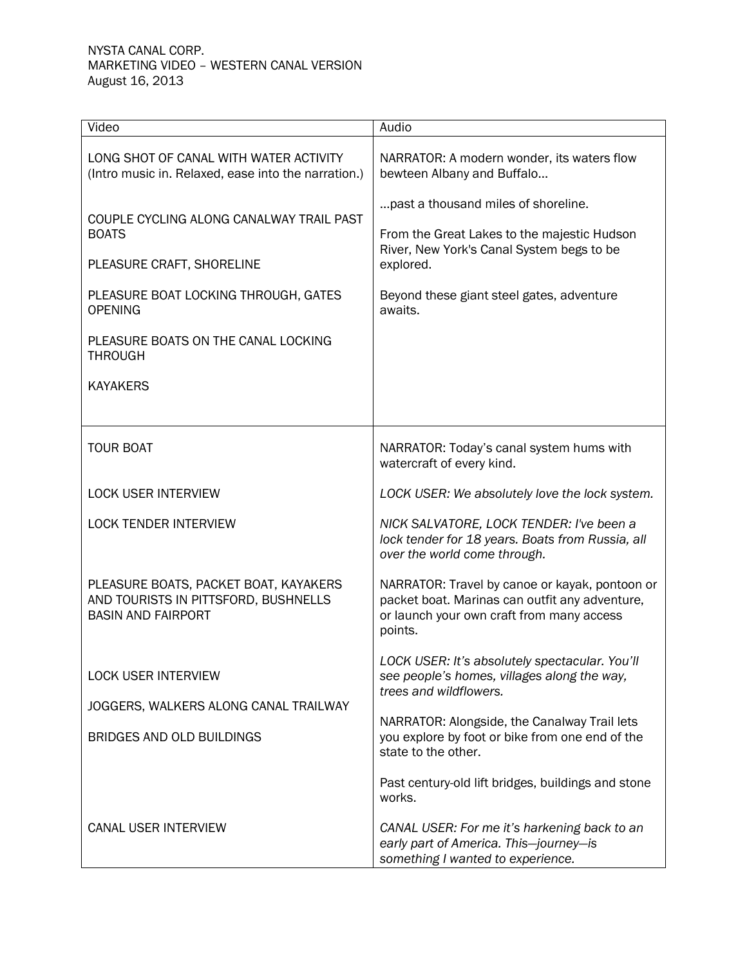| Video                                                                                                                         | Audio                                                                                                                                                                                                                                             |
|-------------------------------------------------------------------------------------------------------------------------------|---------------------------------------------------------------------------------------------------------------------------------------------------------------------------------------------------------------------------------------------------|
| LONG SHOT OF CANAL WITH WATER ACTIVITY<br>(Intro music in. Relaxed, ease into the narration.)                                 | NARRATOR: A modern wonder, its waters flow<br>bewteen Albany and Buffalo                                                                                                                                                                          |
| COUPLE CYCLING ALONG CANALWAY TRAIL PAST<br><b>BOATS</b><br>PLEASURE CRAFT, SHORELINE<br>PLEASURE BOAT LOCKING THROUGH, GATES | past a thousand miles of shoreline.<br>From the Great Lakes to the majestic Hudson<br>River, New York's Canal System begs to be<br>explored.<br>Beyond these giant steel gates, adventure                                                         |
| <b>OPENING</b><br>PLEASURE BOATS ON THE CANAL LOCKING<br><b>THROUGH</b><br><b>KAYAKERS</b>                                    | awaits.                                                                                                                                                                                                                                           |
|                                                                                                                               |                                                                                                                                                                                                                                                   |
| <b>TOUR BOAT</b>                                                                                                              | NARRATOR: Today's canal system hums with<br>watercraft of every kind.                                                                                                                                                                             |
| <b>LOCK USER INTERVIEW</b>                                                                                                    | LOCK USER: We absolutely love the lock system.                                                                                                                                                                                                    |
| <b>LOCK TENDER INTERVIEW</b>                                                                                                  | NICK SALVATORE, LOCK TENDER: I've been a<br>lock tender for 18 years. Boats from Russia, all<br>over the world come through.                                                                                                                      |
| PLEASURE BOATS, PACKET BOAT, KAYAKERS<br>AND TOURISTS IN PITTSFORD, BUSHNELLS<br><b>BASIN AND FAIRPORT</b>                    | NARRATOR: Travel by canoe or kayak, pontoon or<br>packet boat. Marinas can outfit any adventure,<br>or launch your own craft from many access<br>points.                                                                                          |
| <b>LOCK USER INTERVIEW</b><br>JOGGERS, WALKERS ALONG CANAL TRAILWAY<br><b>BRIDGES AND OLD BUILDINGS</b>                       | LOCK USER: It's absolutely spectacular. You'll<br>see people's homes, villages along the way,<br>trees and wildflowers.<br>NARRATOR: Alongside, the Canalway Trail lets<br>you explore by foot or bike from one end of the<br>state to the other. |
| <b>CANAL USER INTERVIEW</b>                                                                                                   | Past century-old lift bridges, buildings and stone<br>works.<br>CANAL USER: For me it's harkening back to an<br>early part of America. This-journey-is<br>something I wanted to experience.                                                       |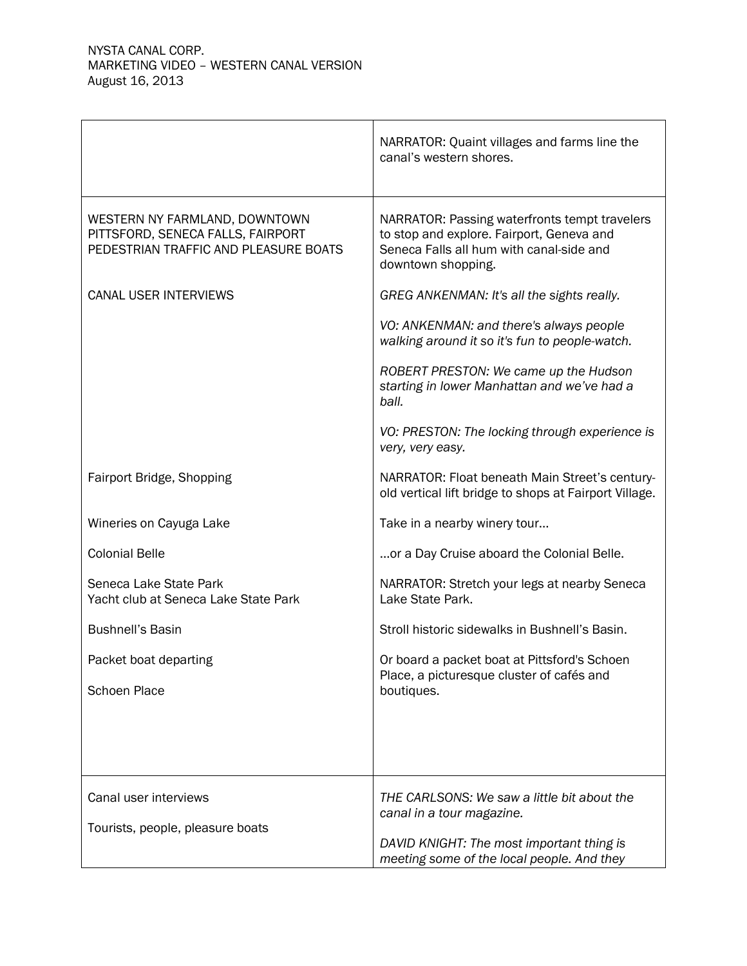|                                                                                                             | NARRATOR: Quaint villages and farms line the<br>canal's western shores.                                                                                      |
|-------------------------------------------------------------------------------------------------------------|--------------------------------------------------------------------------------------------------------------------------------------------------------------|
| WESTERN NY FARMLAND, DOWNTOWN<br>PITTSFORD, SENECA FALLS, FAIRPORT<br>PEDESTRIAN TRAFFIC AND PLEASURE BOATS | NARRATOR: Passing waterfronts tempt travelers<br>to stop and explore. Fairport, Geneva and<br>Seneca Falls all hum with canal-side and<br>downtown shopping. |
| <b>CANAL USER INTERVIEWS</b>                                                                                | GREG ANKENMAN: It's all the sights really.                                                                                                                   |
|                                                                                                             | VO: ANKENMAN: and there's always people<br>walking around it so it's fun to people-watch.                                                                    |
|                                                                                                             | ROBERT PRESTON: We came up the Hudson<br>starting in lower Manhattan and we've had a<br>ball.                                                                |
|                                                                                                             | VO: PRESTON: The locking through experience is<br>very, very easy.                                                                                           |
| Fairport Bridge, Shopping                                                                                   | NARRATOR: Float beneath Main Street's century-<br>old vertical lift bridge to shops at Fairport Village.                                                     |
| Wineries on Cayuga Lake                                                                                     | Take in a nearby winery tour                                                                                                                                 |
| <b>Colonial Belle</b>                                                                                       | or a Day Cruise aboard the Colonial Belle.                                                                                                                   |
| Seneca Lake State Park<br>Yacht club at Seneca Lake State Park                                              | NARRATOR: Stretch your legs at nearby Seneca<br>Lake State Park.                                                                                             |
| <b>Bushnell's Basin</b>                                                                                     | Stroll historic sidewalks in Bushnell's Basin.                                                                                                               |
| Packet boat departing                                                                                       | Or board a packet boat at Pittsford's Schoen                                                                                                                 |
| <b>Schoen Place</b>                                                                                         | Place, a picturesque cluster of cafés and<br>boutiques.                                                                                                      |
|                                                                                                             |                                                                                                                                                              |
|                                                                                                             |                                                                                                                                                              |
| Canal user interviews                                                                                       | THE CARLSONS: We saw a little bit about the<br>canal in a tour magazine.                                                                                     |
| Tourists, people, pleasure boats                                                                            |                                                                                                                                                              |
|                                                                                                             | DAVID KNIGHT: The most important thing is<br>meeting some of the local people. And they                                                                      |